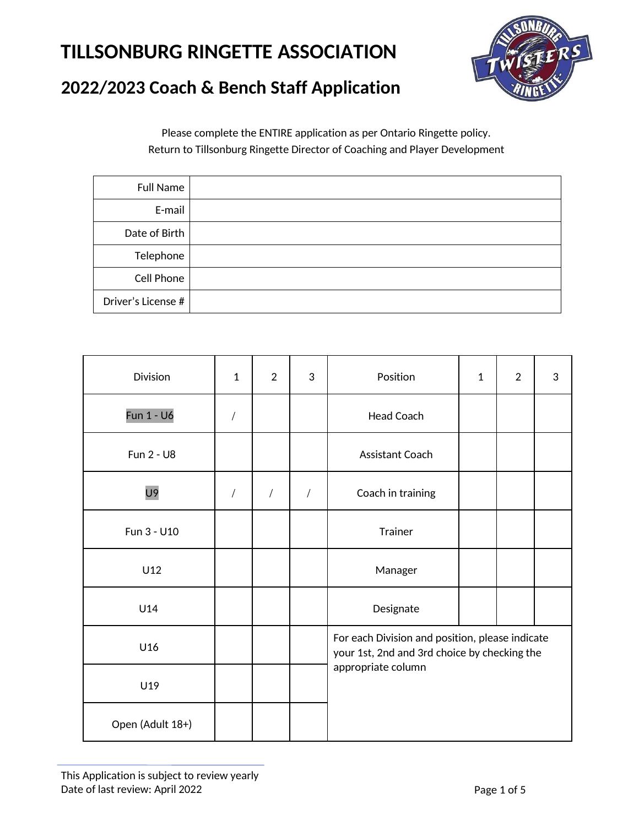

## **2022/2023 Coach & Bench Staff Application**

Please complete the ENTIRE application as per Ontario Ringette policy. Return to Tillsonburg Ringette Director of Coaching and Player Development

| Full Name          |  |
|--------------------|--|
| E-mail             |  |
| Date of Birth      |  |
| Telephone          |  |
| Cell Phone         |  |
| Driver's License # |  |

| <b>Division</b>  | $\mathbf{1}$ | $\overline{2}$ | 3          | Position                                                                                                              | $\mathbf{1}$ | $\overline{2}$ | 3 |
|------------------|--------------|----------------|------------|-----------------------------------------------------------------------------------------------------------------------|--------------|----------------|---|
| Fun 1 - U6       |              |                |            | Head Coach                                                                                                            |              |                |   |
| Fun 2 - U8       |              |                |            | Assistant Coach                                                                                                       |              |                |   |
| U9               | $\sqrt{2}$   | $\sqrt{2}$     | $\sqrt{2}$ | Coach in training                                                                                                     |              |                |   |
| Fun 3 - U10      |              |                |            | Trainer                                                                                                               |              |                |   |
| U12              |              |                |            | Manager                                                                                                               |              |                |   |
| U14              |              |                |            | Designate                                                                                                             |              |                |   |
| U16              |              |                |            | For each Division and position, please indicate<br>your 1st, 2nd and 3rd choice by checking the<br>appropriate column |              |                |   |
| U19              |              |                |            |                                                                                                                       |              |                |   |
| Open (Adult 18+) |              |                |            |                                                                                                                       |              |                |   |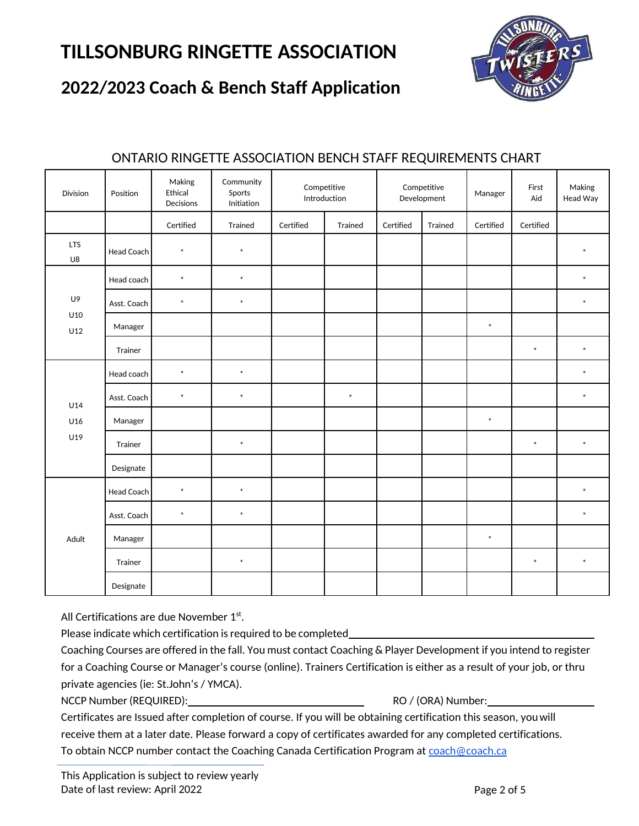

### **2022/2023 Coach & Bench Staff Application**

| Division         | Position    | Making<br>Ethical<br>Decisions | Community<br>Sports<br>Initiation |           | Competitive<br>Introduction |           | Competitive<br>Development | Manager   | First<br>Aid | Making<br>Head Way |
|------------------|-------------|--------------------------------|-----------------------------------|-----------|-----------------------------|-----------|----------------------------|-----------|--------------|--------------------|
|                  |             | Certified                      | Trained                           | Certified | Trained                     | Certified | Trained                    | Certified | Certified    |                    |
| <b>LTS</b><br>U8 | Head Coach  | $\ast$                         | $\ast$                            |           |                             |           |                            |           |              | $\ast$             |
| U9<br>U10<br>U12 | Head coach  | $\ast$                         | $\ast$                            |           |                             |           |                            |           |              | $\ast$             |
|                  | Asst. Coach | $\ast$                         | $\ast$                            |           |                             |           |                            |           |              | $\ast$             |
|                  | Manager     |                                |                                   |           |                             |           |                            | $\ast$    |              |                    |
|                  | Trainer     |                                |                                   |           |                             |           |                            |           | $\ast$       | $\ast$             |
| U14              | Head coach  | $\ast$                         | $\ast$                            |           |                             |           |                            |           |              | $\ast$             |
|                  | Asst. Coach | $\ast$                         | $\ast$                            |           | $\ast$                      |           |                            |           |              | $\ast$             |
| U16              | Manager     |                                |                                   |           |                             |           |                            | $\ast$    |              |                    |
| U19              | Trainer     |                                | $\ast$                            |           |                             |           |                            |           | $\ast$       | $\ast$             |
|                  | Designate   |                                |                                   |           |                             |           |                            |           |              |                    |
| Adult            | Head Coach  | $\ast$                         | $\ast$                            |           |                             |           |                            |           |              | $\ast$             |
|                  | Asst. Coach | $\ast$                         | $\ast$                            |           |                             |           |                            |           |              | $\ast$             |
|                  | Manager     |                                |                                   |           |                             |           |                            | $\ast$    |              |                    |
|                  | Trainer     |                                | $\ast$                            |           |                             |           |                            |           | $\ast$       | $\ast$             |
|                  | Designate   |                                |                                   |           |                             |           |                            |           |              |                    |

#### ONTARIO RINGETTE ASSOCIATION BENCH STAFF REQUIREMENTS CHART

All Certifications are due November  $1<sup>st</sup>$ .

Please indicate which certification is required to be completed\_

Coaching Courses are offered in the fall. You must contact Coaching & Player Development if you intend to register for a Coaching Course or Manager's course (online). Trainers Certification is either as a result of your job, or thru private agencies (ie: St.John's / YMCA).

NCCP Number (REQUIRED): RO / (ORA) Number:

Certificates are Issued after completion of course. If you will be obtaining certification this season, youwill receive them at a later date. Please forward a copy of certificates awarded for any completed certifications. To obtain NCCP number contact the Coaching Canada Certification Program a[t coach@coach.ca](mailto:coach@coach.ca)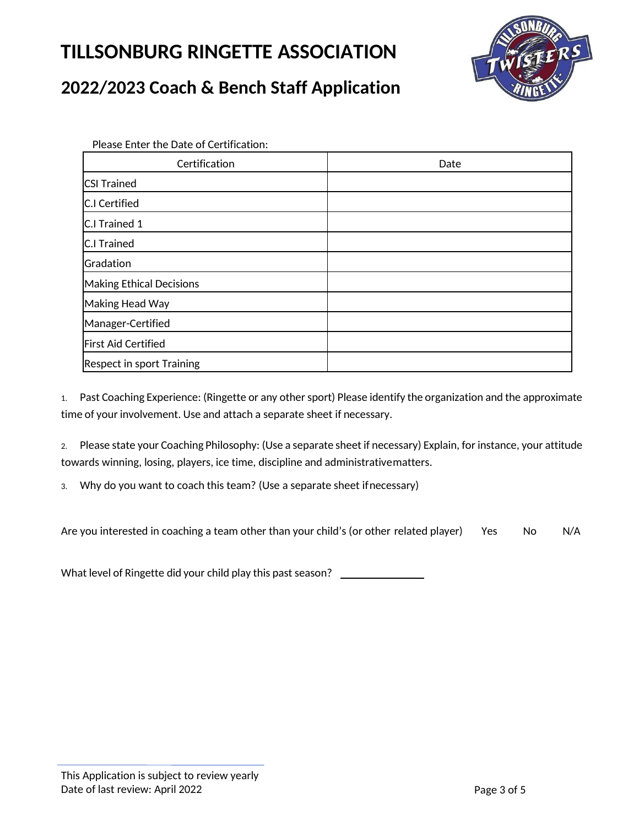

### **2022/2023 Coach & Bench Staff Application**

Please Enter the Date of Certification:

| Certification                    | Date |
|----------------------------------|------|
| <b>CSI Trained</b>               |      |
| <b>C.I Certified</b>             |      |
| C.I Trained 1                    |      |
| <b>C.I Trained</b>               |      |
| Gradation                        |      |
| <b>Making Ethical Decisions</b>  |      |
| Making Head Way                  |      |
| Manager-Certified                |      |
| <b>First Aid Certified</b>       |      |
| <b>Respect in sport Training</b> |      |

1. Past Coaching Experience: (Ringette or any other sport) Please identify the organization and the approximate time of your involvement. Use and attach a separate sheet if necessary.

2. Please state your Coaching Philosophy: (Use a separate sheet if necessary) Explain, for instance, your attitude towards winning, losing, players, ice time, discipline and administrativematters.

3. Why do you want to coach this team? (Use a separate sheet ifnecessary)

Are you interested in coaching a team other than your child's (or other related player) Yes No N/A

What level of Ringette did your child play this past season? \_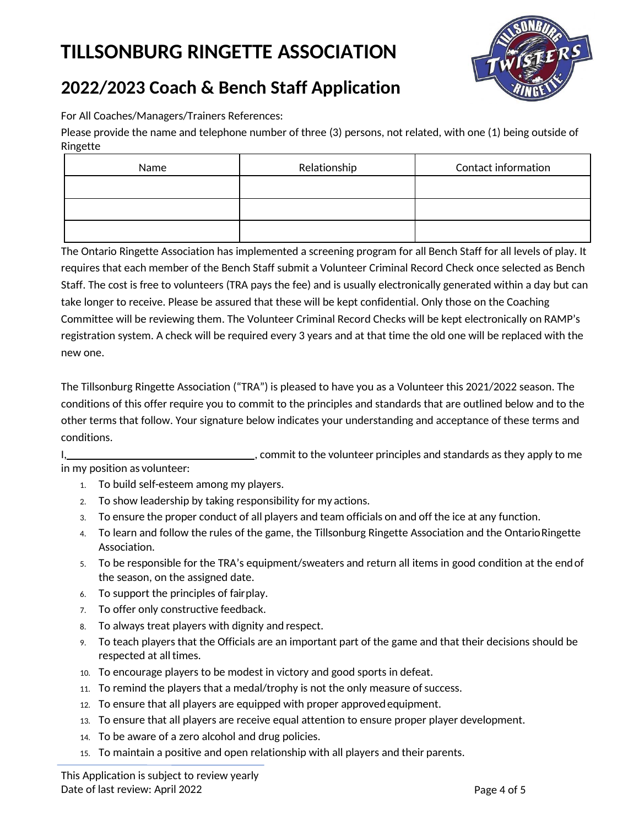

## **2022/2023 Coach & Bench Staff Application**

For All Coaches/Managers/Trainers References:

Please provide the name and telephone number of three (3) persons, not related, with one (1) being outside of Ringette

| Name | Relationship | Contact information |
|------|--------------|---------------------|
|      |              |                     |
|      |              |                     |
|      |              |                     |

The Ontario Ringette Association has implemented a screening program for all Bench Staff for all levels of play. It requires that each member of the Bench Staff submit a Volunteer Criminal Record Check once selected as Bench Staff. The cost is free to volunteers (TRA pays the fee) and is usually electronically generated within a day but can take longer to receive. Please be assured that these will be kept confidential. Only those on the Coaching Committee will be reviewing them. The Volunteer Criminal Record Checks will be kept electronically on RAMP's registration system. A check will be required every 3 years and at that time the old one will be replaced with the new one.

The Tillsonburg Ringette Association ("TRA") is pleased to have you as a Volunteer this 2021/2022 season. The conditions of this offer require you to commit to the principles and standards that are outlined below and to the other terms that follow. Your signature below indicates your understanding and acceptance of these terms and conditions.

I, 1. Commit to the volunteer principles and standards as they apply to me in my position as volunteer:

- 1. To build self-esteem among my players.
- 2. To show leadership by taking responsibility for my actions.
- 3. To ensure the proper conduct of all players and team officials on and off the ice at any function.
- 4. To learn and follow the rules of the game, the Tillsonburg Ringette Association and the Ontario Ringette Association.
- 5. To be responsible for the TRA's equipment/sweaters and return all items in good condition at the endof the season, on the assigned date.
- 6. To support the principles of fairplay.
- 7. To offer only constructive feedback.
- 8. To always treat players with dignity and respect.
- 9. To teach players that the Officials are an important part of the game and that their decisions should be respected at all times.
- 10. To encourage players to be modest in victory and good sports in defeat.
- 11. To remind the players that a medal/trophy is not the only measure of success.
- 12. To ensure that all players are equipped with proper approvedequipment.
- 13. To ensure that all players are receive equal attention to ensure proper player development.
- 14. To be aware of a zero alcohol and drug policies.
- 15. To maintain a positive and open relationship with all players and their parents.